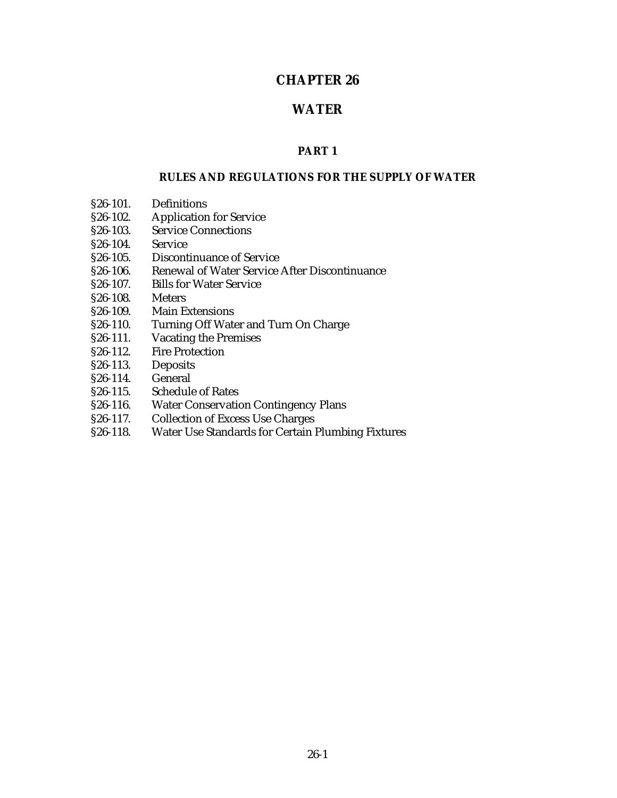# **CHAPTER 26**

## **WATER**

## **PART 1**

#### **RULES AND REGULATIONS FOR THE SUPPLY OF WATER**

- §26-101. Definitions<br>§26-102. Application
- §26-102. Application for Service
- §26-103. Service Connections<br>§26-104. Service
- $$26-104.$
- §26-105. Discontinuance of Service
- §26-106. Renewal of Water Service After Discontinuance
- §26-107. Bills for Water Service
- §26-108. Meters<br>§26-109. Main E
- Main Extensions
- §26-110. Turning Off Water and Turn On Charge
- §26-111. Vacating the Premises
- §26-112. Fire Protection
- §26-113. Deposits<br>§26-114. General
- $§26-114.$
- §26-115. Schedule of Rates
- §26-116. Water Conservation Contingency Plans
- §26-117. Collection of Excess Use Charges<br>§26-118. Water Use Standards for Certain
- §26-118. Water Use Standards for Certain Plumbing Fixtures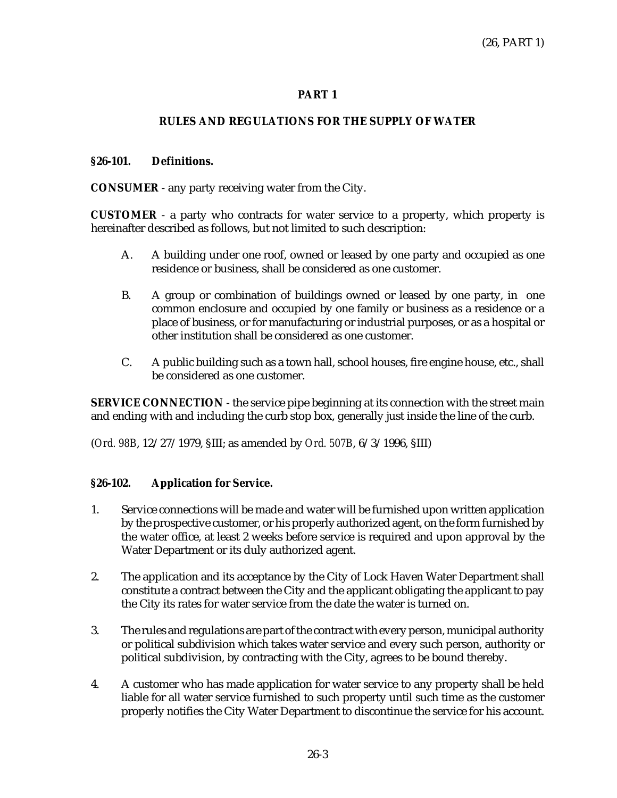# **PART 1**

# **RULES AND REGULATIONS FOR THE SUPPLY OF WATER**

## **§26-101. Definitions.**

## **CONSUMER** - any party receiving water from the City.

**CUSTOMER** - a party who contracts for water service to a property, which property is hereinafter described as follows, but not limited to such description:

- A. A building under one roof, owned or leased by one party and occupied as one residence or business, shall be considered as one customer.
- B. A group or combination of buildings owned or leased by one party, in one common enclosure and occupied by one family or business as a residence or a place of business, or for manufacturing or industrial purposes, or as a hospital or other institution shall be considered as one customer.
- C. A public building such as a town hall, school houses, fire engine house, etc., shall be considered as one customer.

**SERVICE CONNECTION** - the service pipe beginning at its connection with the street main and ending with and including the curb stop box, generally just inside the line of the curb.

(*Ord. 98B*, 12/27/1979, §III; as amended by *Ord. 507B*, 6/3/1996, §III)

## **§26-102. Application for Service.**

- 1. Service connections will be made and water will be furnished upon written application by the prospective customer, or his properly authorized agent, on the form furnished by the water office, at least 2 weeks before service is required and upon approval by the Water Department or its duly authorized agent.
- 2. The application and its acceptance by the City of Lock Haven Water Department shall constitute a contract between the City and the applicant obligating the applicant to pay the City its rates for water service from the date the water is turned on.
- 3. The rules and regulations are part of the contract with every person, municipal authority or political subdivision which takes water service and every such person, authority or political subdivision, by contracting with the City, agrees to be bound thereby.
- 4. A customer who has made application for water service to any property shall be held liable for all water service furnished to such property until such time as the customer properly notifies the City Water Department to discontinue the service for his account.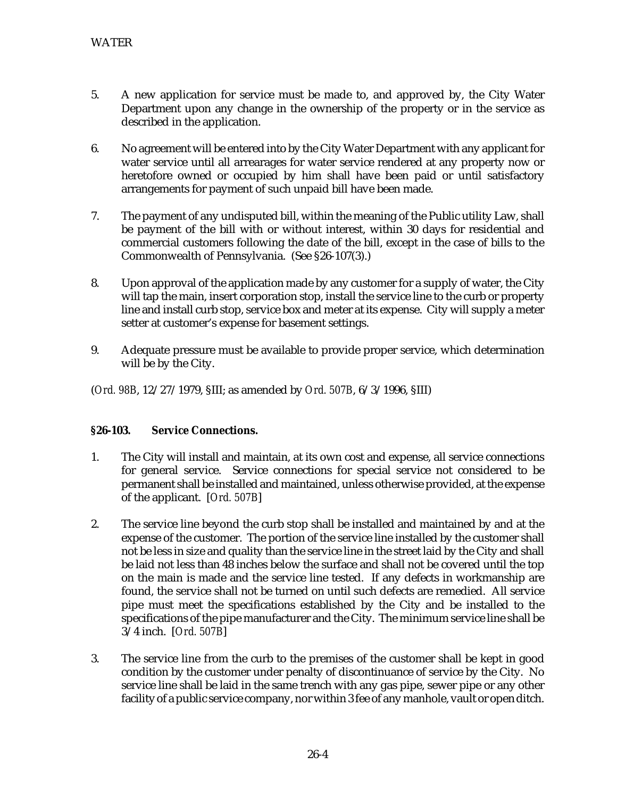- 5. A new application for service must be made to, and approved by, the City Water Department upon any change in the ownership of the property or in the service as described in the application.
- 6. No agreement will be entered into by the City Water Department with any applicant for water service until all arrearages for water service rendered at any property now or heretofore owned or occupied by him shall have been paid or until satisfactory arrangements for payment of such unpaid bill have been made.
- 7. The payment of any undisputed bill, within the meaning of the Public utility Law, shall be payment of the bill with or without interest, within 30 days for residential and commercial customers following the date of the bill, except in the case of bills to the Commonwealth of Pennsylvania. (See §26-107(3).)
- 8. Upon approval of the application made by any customer for a supply of water, the City will tap the main, insert corporation stop, install the service line to the curb or property line and install curb stop, service box and meter at its expense. City will supply a meter setter at customer's expense for basement settings.
- 9. Adequate pressure must be available to provide proper service, which determination will be by the City.

## **§26-103. Service Connections.**

- 1. The City will install and maintain, at its own cost and expense, all service connections for general service. Service connections for special service not considered to be permanent shall be installed and maintained, unless otherwise provided, at the expense of the applicant. [*Ord. 507B*]
- 2. The service line beyond the curb stop shall be installed and maintained by and at the expense of the customer. The portion of the service line installed by the customer shall not be less in size and quality than the service line in the street laid by the City and shall be laid not less than 48 inches below the surface and shall not be covered until the top on the main is made and the service line tested. If any defects in workmanship are found, the service shall not be turned on until such defects are remedied. All service pipe must meet the specifications established by the City and be installed to the specifications of the pipe manufacturer and the City. The minimum service line shall be 3/4 inch. [*Ord. 507B*]
- 3. The service line from the curb to the premises of the customer shall be kept in good condition by the customer under penalty of discontinuance of service by the City. No service line shall be laid in the same trench with any gas pipe, sewer pipe or any other facility of a public service company, nor within 3 fee of any manhole, vault or open ditch.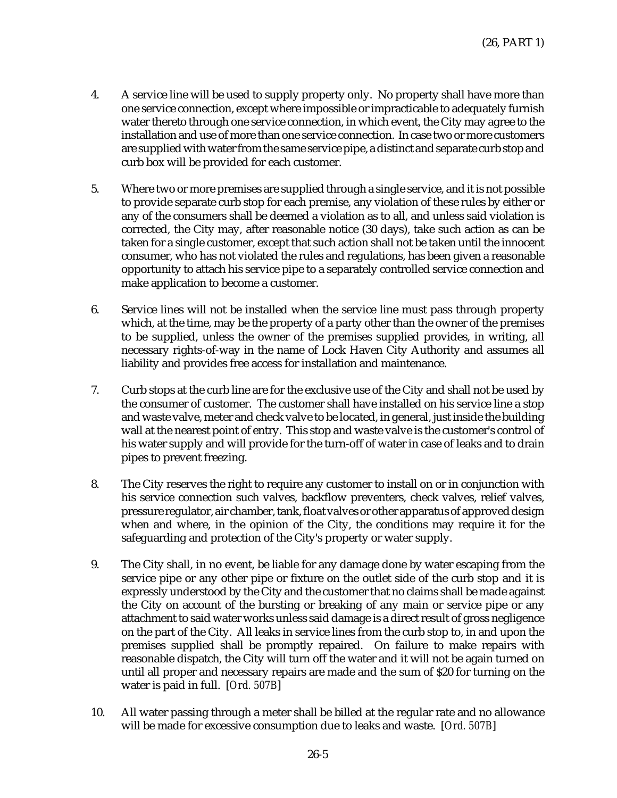- 4. A service line will be used to supply property only. No property shall have more than one service connection, except where impossible or impracticable to adequately furnish water thereto through one service connection, in which event, the City may agree to the installation and use of more than one service connection. In case two or more customers are supplied with water from the same service pipe, a distinct and separate curb stop and curb box will be provided for each customer.
- 5. Where two or more premises are supplied through a single service, and it is not possible to provide separate curb stop for each premise, any violation of these rules by either or any of the consumers shall be deemed a violation as to all, and unless said violation is corrected, the City may, after reasonable notice (30 days), take such action as can be taken for a single customer, except that such action shall not be taken until the innocent consumer, who has not violated the rules and regulations, has been given a reasonable opportunity to attach his service pipe to a separately controlled service connection and make application to become a customer.
- 6. Service lines will not be installed when the service line must pass through property which, at the time, may be the property of a party other than the owner of the premises to be supplied, unless the owner of the premises supplied provides, in writing, all necessary rights-of-way in the name of Lock Haven City Authority and assumes all liability and provides free access for installation and maintenance.
- 7. Curb stops at the curb line are for the exclusive use of the City and shall not be used by the consumer of customer. The customer shall have installed on his service line a stop and waste valve, meter and check valve to be located, in general, just inside the building wall at the nearest point of entry. This stop and waste valve is the customer's control of his water supply and will provide for the turn-off of water in case of leaks and to drain pipes to prevent freezing.
- 8. The City reserves the right to require any customer to install on or in conjunction with his service connection such valves, backflow preventers, check valves, relief valves, pressure regulator, air chamber, tank, float valves or other apparatus of approved design when and where, in the opinion of the City, the conditions may require it for the safeguarding and protection of the City's property or water supply.
- 9. The City shall, in no event, be liable for any damage done by water escaping from the service pipe or any other pipe or fixture on the outlet side of the curb stop and it is expressly understood by the City and the customer that no claims shall be made against the City on account of the bursting or breaking of any main or service pipe or any attachment to said water works unless said damage is a direct result of gross negligence on the part of the City. All leaks in service lines from the curb stop to, in and upon the premises supplied shall be promptly repaired. On failure to make repairs with reasonable dispatch, the City will turn off the water and it will not be again turned on until all proper and necessary repairs are made and the sum of \$20 for turning on the water is paid in full. [*Ord. 507B*]
- 10. All water passing through a meter shall be billed at the regular rate and no allowance will be made for excessive consumption due to leaks and waste. [*Ord. 507B*]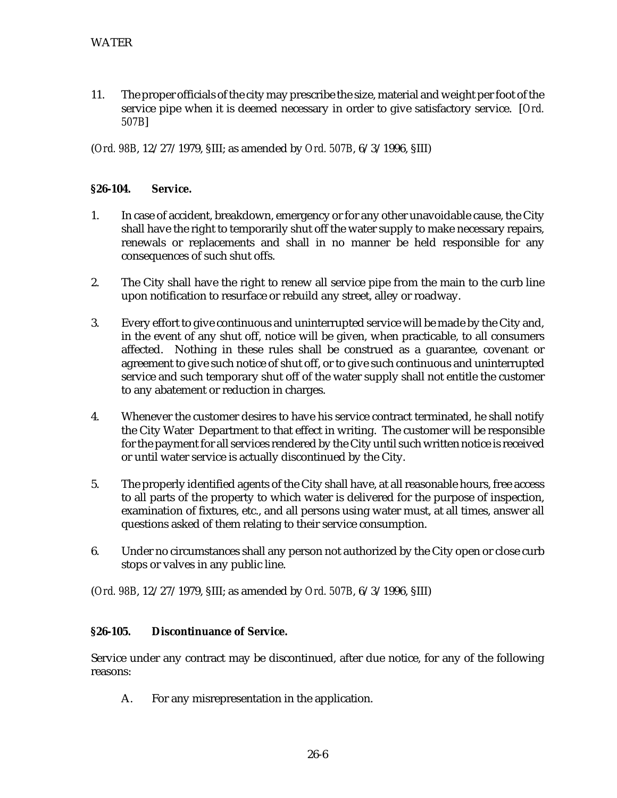11. The proper officials of the city may prescribe the size, material and weight per foot of the service pipe when it is deemed necessary in order to give satisfactory service. [*Ord. 507B*]

(*Ord. 98B*, 12/27/1979, §III; as amended by *Ord. 507B*, 6/3/1996, §III)

#### **§26-104. Service.**

- 1. In case of accident, breakdown, emergency or for any other unavoidable cause, the City shall have the right to temporarily shut off the water supply to make necessary repairs, renewals or replacements and shall in no manner be held responsible for any consequences of such shut offs.
- 2. The City shall have the right to renew all service pipe from the main to the curb line upon notification to resurface or rebuild any street, alley or roadway.
- 3. Every effort to give continuous and uninterrupted service will be made by the City and, in the event of any shut off, notice will be given, when practicable, to all consumers affected. Nothing in these rules shall be construed as a guarantee, covenant or agreement to give such notice of shut off, or to give such continuous and uninterrupted service and such temporary shut off of the water supply shall not entitle the customer to any abatement or reduction in charges.
- 4. Whenever the customer desires to have his service contract terminated, he shall notify the City Water Department to that effect in writing. The customer will be responsible for the payment for all services rendered by the City until such written notice is received or until water service is actually discontinued by the City.
- 5. The properly identified agents of the City shall have, at all reasonable hours, free access to all parts of the property to which water is delivered for the purpose of inspection, examination of fixtures, etc., and all persons using water must, at all times, answer all questions asked of them relating to their service consumption.
- 6. Under no circumstances shall any person not authorized by the City open or close curb stops or valves in any public line.

(*Ord. 98B*, 12/27/1979, §III; as amended by *Ord. 507B*, 6/3/1996, §III)

#### **§26-105. Discontinuance of Service.**

Service under any contract may be discontinued, after due notice, for any of the following reasons:

A. For any misrepresentation in the application.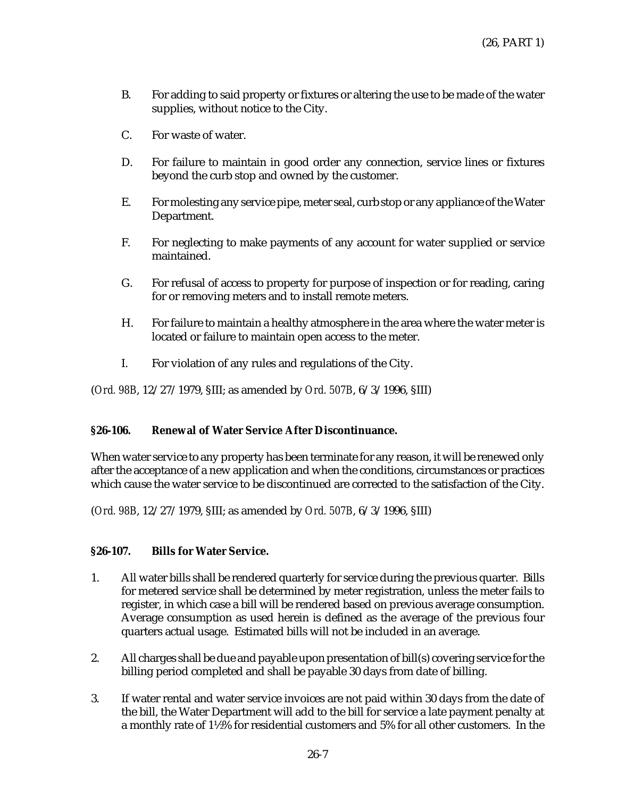- B. For adding to said property or fixtures or altering the use to be made of the water supplies, without notice to the City.
- C. For waste of water.
- D. For failure to maintain in good order any connection, service lines or fixtures beyond the curb stop and owned by the customer.
- E. For molesting any service pipe, meter seal, curb stop or any appliance of the Water Department.
- F. For neglecting to make payments of any account for water supplied or service maintained.
- G. For refusal of access to property for purpose of inspection or for reading, caring for or removing meters and to install remote meters.
- H. For failure to maintain a healthy atmosphere in the area where the water meter is located or failure to maintain open access to the meter.
- I. For violation of any rules and regulations of the City.

## **§26-106. Renewal of Water Service After Discontinuance.**

When water service to any property has been terminate for any reason, it will be renewed only after the acceptance of a new application and when the conditions, circumstances or practices which cause the water service to be discontinued are corrected to the satisfaction of the City.

(*Ord. 98B*, 12/27/1979, §III; as amended by *Ord. 507B*, 6/3/1996, §III)

## **§26-107. Bills for Water Service.**

- 1. All water bills shall be rendered quarterly for service during the previous quarter. Bills for metered service shall be determined by meter registration, unless the meter fails to register, in which case a bill will be rendered based on previous average consumption. Average consumption as used herein is defined as the average of the previous four quarters actual usage. Estimated bills will not be included in an average.
- 2. All charges shall be due and payable upon presentation of bill(s) covering service for the billing period completed and shall be payable 30 days from date of billing.
- 3. If water rental and water service invoices are not paid within 30 days from the date of the bill, the Water Department will add to the bill for service a late payment penalty at a monthly rate of 1½% for residential customers and 5% for all other customers. In the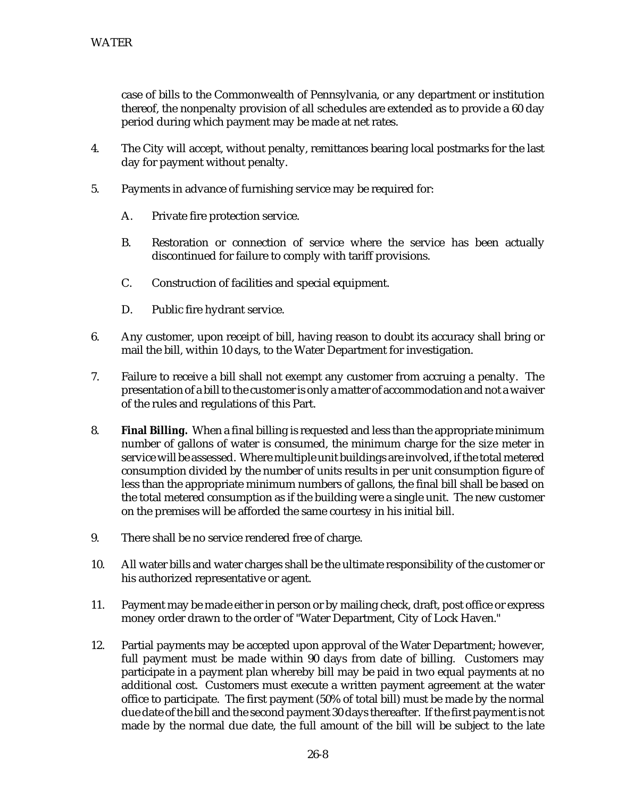case of bills to the Commonwealth of Pennsylvania, or any department or institution thereof, the nonpenalty provision of all schedules are extended as to provide a 60 day period during which payment may be made at net rates.

- 4. The City will accept, without penalty, remittances bearing local postmarks for the last day for payment without penalty.
- 5. Payments in advance of furnishing service may be required for:
	- A. Private fire protection service.
	- B. Restoration or connection of service where the service has been actually discontinued for failure to comply with tariff provisions.
	- C. Construction of facilities and special equipment.
	- D. Public fire hydrant service.
- 6. Any customer, upon receipt of bill, having reason to doubt its accuracy shall bring or mail the bill, within 10 days, to the Water Department for investigation.
- 7. Failure to receive a bill shall not exempt any customer from accruing a penalty. The presentation of a bill to the customer is only a matter of accommodation and not a waiver of the rules and regulations of this Part.
- 8. **Final Billing.** When a final billing is requested and less than the appropriate minimum number of gallons of water is consumed, the minimum charge for the size meter in service will be assessed. Where multiple unit buildings are involved, if the total metered consumption divided by the number of units results in per unit consumption figure of less than the appropriate minimum numbers of gallons, the final bill shall be based on the total metered consumption as if the building were a single unit. The new customer on the premises will be afforded the same courtesy in his initial bill.
- 9. There shall be no service rendered free of charge.
- 10. All water bills and water charges shall be the ultimate responsibility of the customer or his authorized representative or agent.
- 11. Payment may be made either in person or by mailing check, draft, post office or express money order drawn to the order of "Water Department, City of Lock Haven."
- 12. Partial payments may be accepted upon approval of the Water Department; however, full payment must be made within 90 days from date of billing. Customers may participate in a payment plan whereby bill may be paid in two equal payments at no additional cost. Customers must execute a written payment agreement at the water office to participate. The first payment (50% of total bill) must be made by the normal due date of the bill and the second payment 30 days thereafter. If the first payment is not made by the normal due date, the full amount of the bill will be subject to the late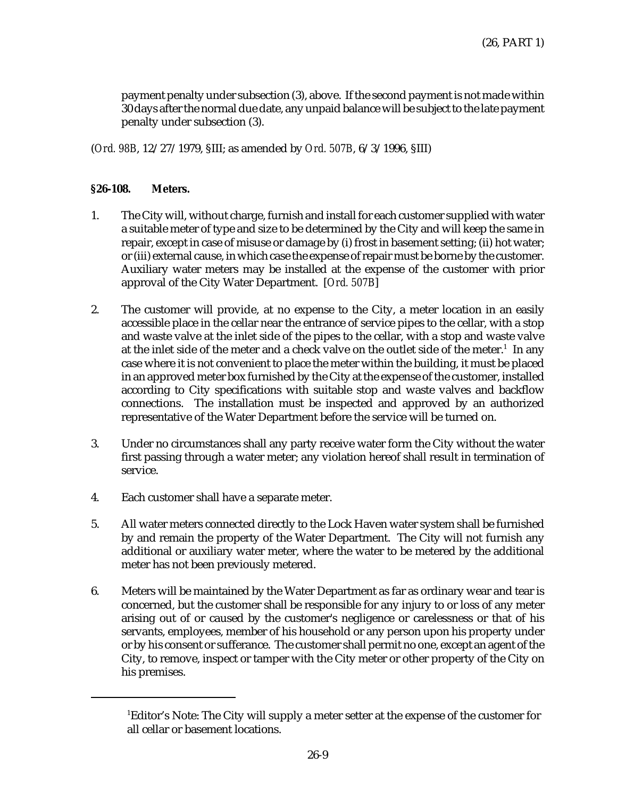payment penalty under subsection (3), above. If the second payment is not made within 30 days after the normal due date, any unpaid balance will be subject to the late payment penalty under subsection (3).

(*Ord. 98B*, 12/27/1979, §III; as amended by *Ord. 507B*, 6/3/1996, §III)

#### **§26-108. Meters.**

- 1. The City will, without charge, furnish and install for each customer supplied with water a suitable meter of type and size to be determined by the City and will keep the same in repair, except in case of misuse or damage by (i) frost in basement setting; (ii) hot water; or (iii) external cause, in which case the expense of repair must be borne by the customer. Auxiliary water meters may be installed at the expense of the customer with prior approval of the City Water Department. [*Ord. 507B*]
- 2. The customer will provide, at no expense to the City, a meter location in an easily accessible place in the cellar near the entrance of service pipes to the cellar, with a stop and waste valve at the inlet side of the pipes to the cellar, with a stop and waste valve at the inlet side of the meter and a check valve on the outlet side of the meter. $^{\rm 1}$  In any case where it is not convenient to place the meter within the building, it must be placed in an approved meter box furnished by the City at the expense of the customer, installed according to City specifications with suitable stop and waste valves and backflow connections. The installation must be inspected and approved by an authorized representative of the Water Department before the service will be turned on.
- 3. Under no circumstances shall any party receive water form the City without the water first passing through a water meter; any violation hereof shall result in termination of service.
- 4. Each customer shall have a separate meter.
- 5. All water meters connected directly to the Lock Haven water system shall be furnished by and remain the property of the Water Department. The City will not furnish any additional or auxiliary water meter, where the water to be metered by the additional meter has not been previously metered.
- 6. Meters will be maintained by the Water Department as far as ordinary wear and tear is concerned, but the customer shall be responsible for any injury to or loss of any meter arising out of or caused by the customer's negligence or carelessness or that of his servants, employees, member of his household or any person upon his property under or by his consent or sufferance. The customer shall permit no one, except an agent of the City, to remove, inspect or tamper with the City meter or other property of the City on his premises.

 $^1$ Editor's Note: The City will supply a meter setter at the expense of the customer for all cellar or basement locations.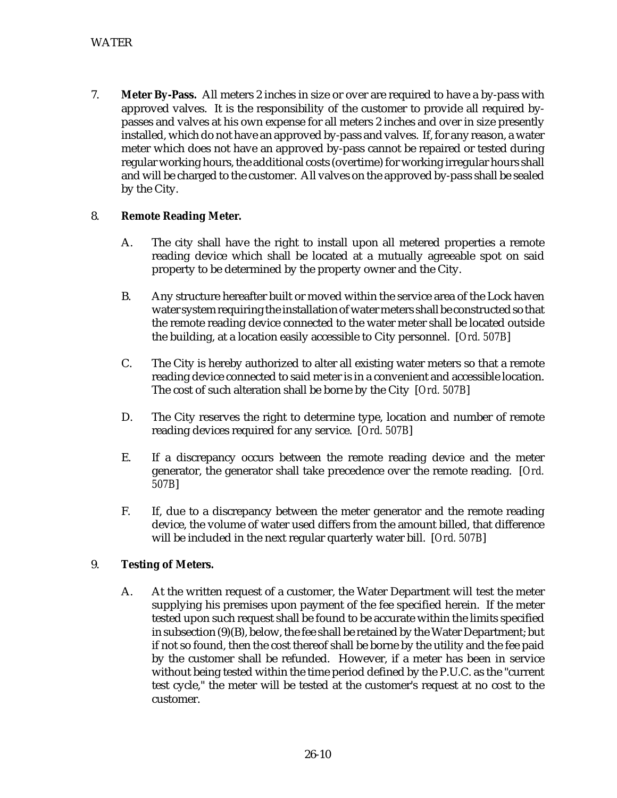7. **Meter By-Pass.** All meters 2 inches in size or over are required to have a by-pass with approved valves. It is the responsibility of the customer to provide all required bypasses and valves at his own expense for all meters 2 inches and over in size presently installed, which do not have an approved by-pass and valves. If, for any reason, a water meter which does not have an approved by-pass cannot be repaired or tested during regular working hours, the additional costs (overtime) for working irregular hours shall and will be charged to the customer. All valves on the approved by-pass shall be sealed by the City.

## 8. **Remote Reading Meter.**

- A. The city shall have the right to install upon all metered properties a remote reading device which shall be located at a mutually agreeable spot on said property to be determined by the property owner and the City.
- B. Any structure hereafter built or moved within the service area of the Lock haven water system requiring the installation of water meters shall be constructed so that the remote reading device connected to the water meter shall be located outside the building, at a location easily accessible to City personnel. [*Ord. 507B*]
- C. The City is hereby authorized to alter all existing water meters so that a remote reading device connected to said meter is in a convenient and accessible location. The cost of such alteration shall be borne by the City [*Ord. 507B*]
- D. The City reserves the right to determine type, location and number of remote reading devices required for any service. [*Ord. 507B*]
- E. If a discrepancy occurs between the remote reading device and the meter generator, the generator shall take precedence over the remote reading. [*Ord. 507B*]
- F. If, due to a discrepancy between the meter generator and the remote reading device, the volume of water used differs from the amount billed, that difference will be included in the next regular quarterly water bill. [*Ord. 507B*]

## 9. **Testing of Meters.**

A. At the written request of a customer, the Water Department will test the meter supplying his premises upon payment of the fee specified herein. If the meter tested upon such request shall be found to be accurate within the limits specified in subsection (9)(B), below, the fee shall be retained by the Water Department; but if not so found, then the cost thereof shall be borne by the utility and the fee paid by the customer shall be refunded. However, if a meter has been in service without being tested within the time period defined by the P.U.C. as the "current test cycle," the meter will be tested at the customer's request at no cost to the customer.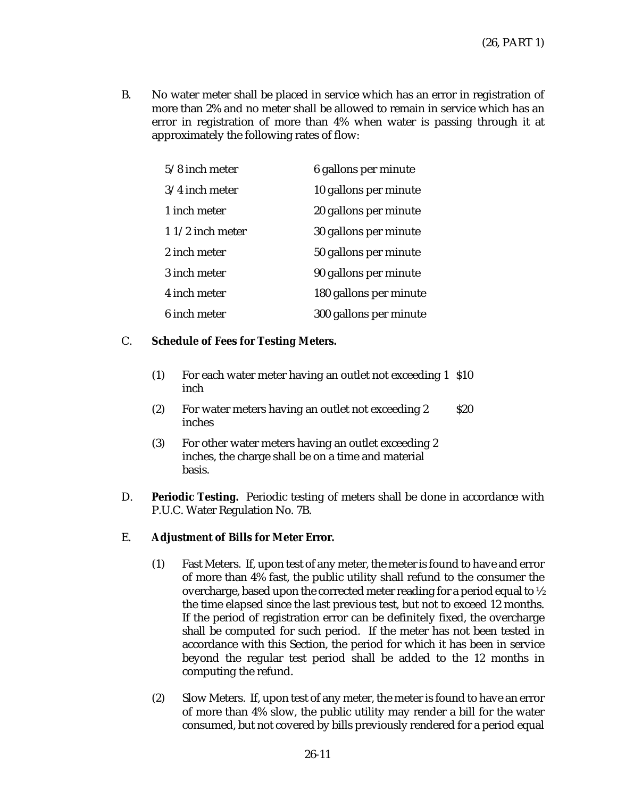B. No water meter shall be placed in service which has an error in registration of more than 2% and no meter shall be allowed to remain in service which has an error in registration of more than 4% when water is passing through it at approximately the following rates of flow:

| $5/8$ inch meter  | 6 gallons per minute   |
|-------------------|------------------------|
| $3/4$ inch meter  | 10 gallons per minute  |
| 1 inch meter      | 20 gallons per minute  |
| $11/2$ inch meter | 30 gallons per minute  |
| 2 inch meter      | 50 gallons per minute  |
| 3 inch meter      | 90 gallons per minute  |
| 4 inch meter      | 180 gallons per minute |
| 6 inch meter      | 300 gallons per minute |

## C. **Schedule of Fees for Testing Meters.**

- (1) For each water meter having an outlet not exceeding 1 \$10 inch
- (2) For water meters having an outlet not exceeding 2 inches \$20
- (3) For other water meters having an outlet exceeding 2 inches, the charge shall be on a time and material basis.
- D. **Periodic Testing.** Periodic testing of meters shall be done in accordance with P.U.C. Water Regulation No. 7B.

## E. **Adjustment of Bills for Meter Error.**

- (1) Fast Meters. If, upon test of any meter, the meter is found to have and error of more than 4% fast, the public utility shall refund to the consumer the overcharge, based upon the corrected meter reading for a period equal to ½ the time elapsed since the last previous test, but not to exceed 12 months. If the period of registration error can be definitely fixed, the overcharge shall be computed for such period. If the meter has not been tested in accordance with this Section, the period for which it has been in service beyond the regular test period shall be added to the 12 months in computing the refund.
- (2) Slow Meters. If, upon test of any meter, the meter is found to have an error of more than 4% slow, the public utility may render a bill for the water consumed, but not covered by bills previously rendered for a period equal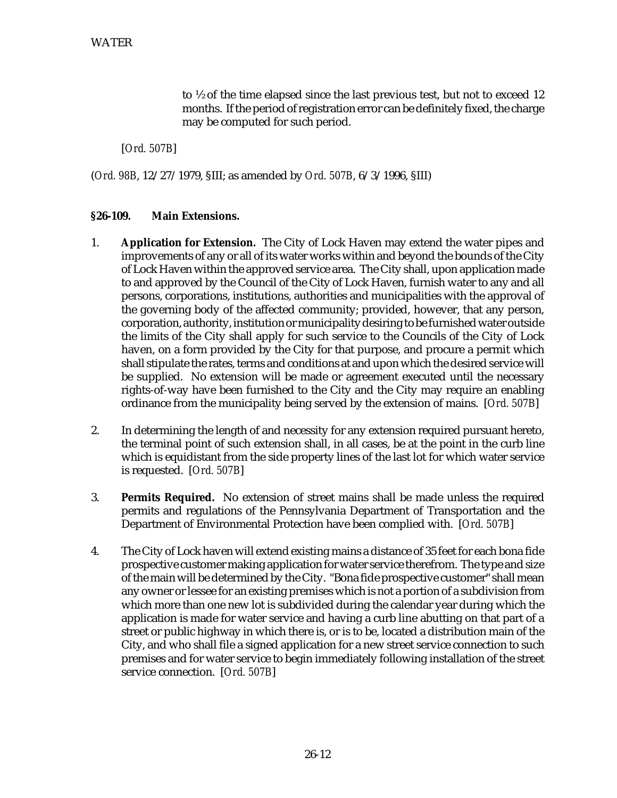to ½ of the time elapsed since the last previous test, but not to exceed 12 months. If the period of registration error can be definitely fixed, the charge may be computed for such period.

[*Ord. 507B*]

(*Ord. 98B*, 12/27/1979, §III; as amended by *Ord. 507B*, 6/3/1996, §III)

#### **§26-109. Main Extensions.**

- 1. **Application for Extension.** The City of Lock Haven may extend the water pipes and improvements of any or all of its water works within and beyond the bounds of the City of Lock Haven within the approved service area. The City shall, upon application made to and approved by the Council of the City of Lock Haven, furnish water to any and all persons, corporations, institutions, authorities and municipalities with the approval of the governing body of the affected community; provided, however, that any person, corporation, authority, institution or municipality desiring to be furnished water outside the limits of the City shall apply for such service to the Councils of the City of Lock haven, on a form provided by the City for that purpose, and procure a permit which shall stipulate the rates, terms and conditions at and upon which the desired service will be supplied. No extension will be made or agreement executed until the necessary rights-of-way have been furnished to the City and the City may require an enabling ordinance from the municipality being served by the extension of mains. [*Ord. 507B*]
- 2. In determining the length of and necessity for any extension required pursuant hereto, the terminal point of such extension shall, in all cases, be at the point in the curb line which is equidistant from the side property lines of the last lot for which water service is requested. [*Ord. 507B*]
- 3. **Permits Required.** No extension of street mains shall be made unless the required permits and regulations of the Pennsylvania Department of Transportation and the Department of Environmental Protection have been complied with. [*Ord. 507B*]
- 4. The City of Lock haven will extend existing mains a distance of 35 feet for each bona fide prospective customer making application for water service therefrom. The type and size of the main will be determined by the City. "Bona fide prospective customer" shall mean any owner or lessee for an existing premises which is not a portion of a subdivision from which more than one new lot is subdivided during the calendar year during which the application is made for water service and having a curb line abutting on that part of a street or public highway in which there is, or is to be, located a distribution main of the City, and who shall file a signed application for a new street service connection to such premises and for water service to begin immediately following installation of the street service connection. [*Ord. 507B*]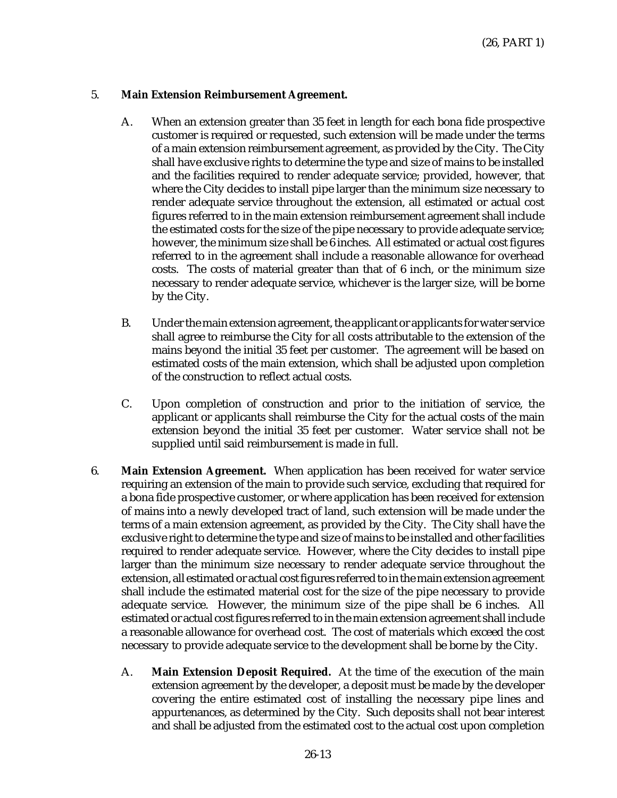#### 5. **Main Extension Reimbursement Agreement.**

- A. When an extension greater than 35 feet in length for each bona fide prospective customer is required or requested, such extension will be made under the terms of a main extension reimbursement agreement, as provided by the City. The City shall have exclusive rights to determine the type and size of mains to be installed and the facilities required to render adequate service; provided, however, that where the City decides to install pipe larger than the minimum size necessary to render adequate service throughout the extension, all estimated or actual cost figures referred to in the main extension reimbursement agreement shall include the estimated costs for the size of the pipe necessary to provide adequate service; however, the minimum size shall be 6 inches. All estimated or actual cost figures referred to in the agreement shall include a reasonable allowance for overhead costs. The costs of material greater than that of 6 inch, or the minimum size necessary to render adequate service, whichever is the larger size, will be borne by the City.
- B. Under the main extension agreement, the applicant or applicants for water service shall agree to reimburse the City for all costs attributable to the extension of the mains beyond the initial 35 feet per customer. The agreement will be based on estimated costs of the main extension, which shall be adjusted upon completion of the construction to reflect actual costs.
- C. Upon completion of construction and prior to the initiation of service, the applicant or applicants shall reimburse the City for the actual costs of the main extension beyond the initial 35 feet per customer. Water service shall not be supplied until said reimbursement is made in full.
- 6. **Main Extension Agreement.** When application has been received for water service requiring an extension of the main to provide such service, excluding that required for a bona fide prospective customer, or where application has been received for extension of mains into a newly developed tract of land, such extension will be made under the terms of a main extension agreement, as provided by the City. The City shall have the exclusive right to determine the type and size of mains to be installed and other facilities required to render adequate service. However, where the City decides to install pipe larger than the minimum size necessary to render adequate service throughout the extension, all estimated or actual cost figures referred to in the main extension agreement shall include the estimated material cost for the size of the pipe necessary to provide adequate service. However, the minimum size of the pipe shall be 6 inches. All estimated or actual cost figures referred to in the main extension agreement shall include a reasonable allowance for overhead cost. The cost of materials which exceed the cost necessary to provide adequate service to the development shall be borne by the City.
	- A. **Main Extension Deposit Required.** At the time of the execution of the main extension agreement by the developer, a deposit must be made by the developer covering the entire estimated cost of installing the necessary pipe lines and appurtenances, as determined by the City. Such deposits shall not bear interest and shall be adjusted from the estimated cost to the actual cost upon completion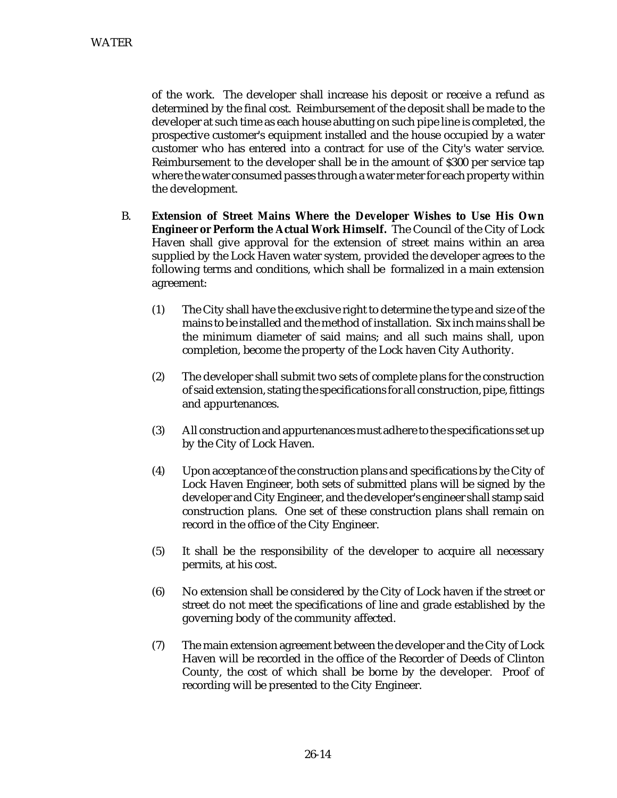of the work. The developer shall increase his deposit or receive a refund as determined by the final cost. Reimbursement of the deposit shall be made to the developer at such time as each house abutting on such pipe line is completed, the prospective customer's equipment installed and the house occupied by a water customer who has entered into a contract for use of the City's water service. Reimbursement to the developer shall be in the amount of \$300 per service tap where the water consumed passes through a water meter for each property within the development.

- B. **Extension of Street Mains Where the Developer Wishes to Use His Own Engineer or Perform the Actual Work Himself.** The Council of the City of Lock Haven shall give approval for the extension of street mains within an area supplied by the Lock Haven water system, provided the developer agrees to the following terms and conditions, which shall be formalized in a main extension agreement:
	- (1) The City shall have the exclusive right to determine the type and size of the mains to be installed and the method of installation. Six inch mains shall be the minimum diameter of said mains; and all such mains shall, upon completion, become the property of the Lock haven City Authority.
	- (2) The developer shall submit two sets of complete plans for the construction of said extension, stating the specifications for all construction, pipe, fittings and appurtenances.
	- (3) All construction and appurtenances must adhere to the specifications set up by the City of Lock Haven.
	- (4) Upon acceptance of the construction plans and specifications by the City of Lock Haven Engineer, both sets of submitted plans will be signed by the developer and City Engineer, and the developer's engineer shall stamp said construction plans. One set of these construction plans shall remain on record in the office of the City Engineer.
	- (5) It shall be the responsibility of the developer to acquire all necessary permits, at his cost.
	- (6) No extension shall be considered by the City of Lock haven if the street or street do not meet the specifications of line and grade established by the governing body of the community affected.
	- (7) The main extension agreement between the developer and the City of Lock Haven will be recorded in the office of the Recorder of Deeds of Clinton County, the cost of which shall be borne by the developer. Proof of recording will be presented to the City Engineer.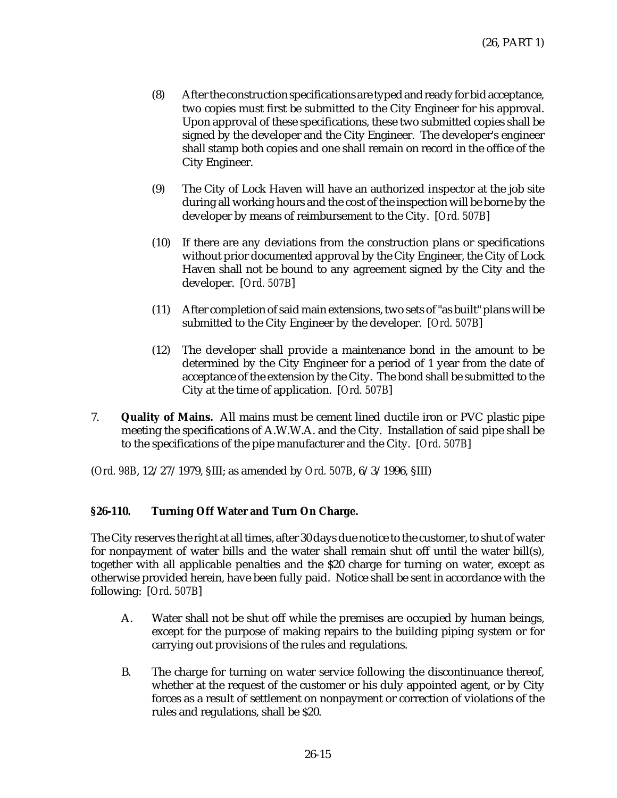- (8) After the construction specifications are typed and ready for bid acceptance, two copies must first be submitted to the City Engineer for his approval. Upon approval of these specifications, these two submitted copies shall be signed by the developer and the City Engineer. The developer's engineer shall stamp both copies and one shall remain on record in the office of the City Engineer.
- (9) The City of Lock Haven will have an authorized inspector at the job site during all working hours and the cost of the inspection will be borne by the developer by means of reimbursement to the City. [*Ord. 507B*]
- (10) If there are any deviations from the construction plans or specifications without prior documented approval by the City Engineer, the City of Lock Haven shall not be bound to any agreement signed by the City and the developer. [*Ord. 507B*]
- (11) After completion of said main extensions, two sets of "as built" plans will be submitted to the City Engineer by the developer. [*Ord. 507B*]
- (12) The developer shall provide a maintenance bond in the amount to be determined by the City Engineer for a period of 1 year from the date of acceptance of the extension by the City. The bond shall be submitted to the City at the time of application. [*Ord. 507B*]
- 7. **Quality of Mains.** All mains must be cement lined ductile iron or PVC plastic pipe meeting the specifications of A.W.W.A. and the City. Installation of said pipe shall be to the specifications of the pipe manufacturer and the City. [*Ord. 507B*]

## **§26-110. Turning Off Water and Turn On Charge.**

The City reserves the right at all times, after 30 days due notice to the customer, to shut of water for nonpayment of water bills and the water shall remain shut off until the water bill(s), together with all applicable penalties and the \$20 charge for turning on water, except as otherwise provided herein, have been fully paid. Notice shall be sent in accordance with the following: [*Ord. 507B*]

- A. Water shall not be shut off while the premises are occupied by human beings, except for the purpose of making repairs to the building piping system or for carrying out provisions of the rules and regulations.
- B. The charge for turning on water service following the discontinuance thereof, whether at the request of the customer or his duly appointed agent, or by City forces as a result of settlement on nonpayment or correction of violations of the rules and regulations, shall be \$20.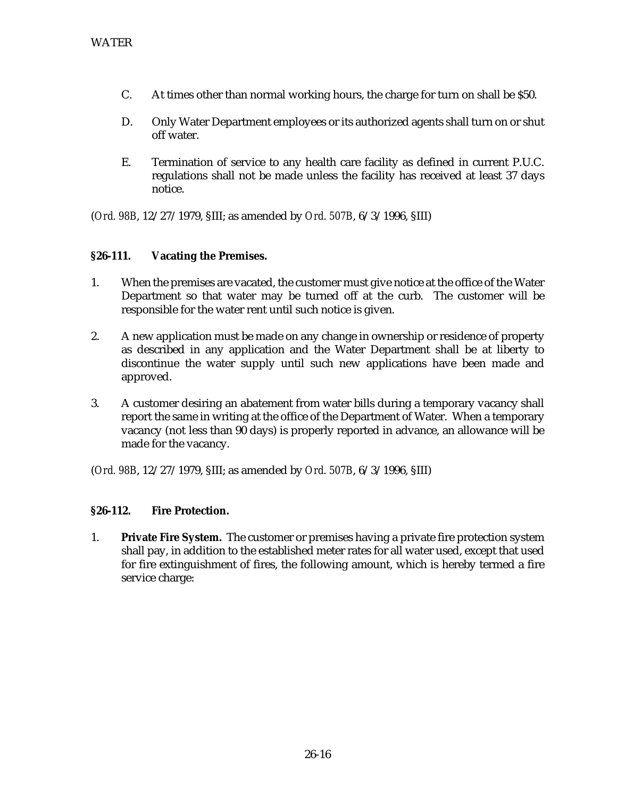- C. At times other than normal working hours, the charge for turn on shall be \$50.
- D. Only Water Department employees or its authorized agents shall turn on or shut off water.
- E. Termination of service to any health care facility as defined in current P.U.C. regulations shall not be made unless the facility has received at least 37 days notice.

## **§26-111. Vacating the Premises.**

- 1. When the premises are vacated, the customer must give notice at the office of the Water Department so that water may be turned off at the curb. The customer will be responsible for the water rent until such notice is given.
- 2. A new application must be made on any change in ownership or residence of property as described in any application and the Water Department shall be at liberty to discontinue the water supply until such new applications have been made and approved.
- 3. A customer desiring an abatement from water bills during a temporary vacancy shall report the same in writing at the office of the Department of Water. When a temporary vacancy (not less than 90 days) is properly reported in advance, an allowance will be made for the vacancy.

(*Ord. 98B*, 12/27/1979, §III; as amended by *Ord. 507B*, 6/3/1996, §III)

## **§26-112. Fire Protection.**

1. **Private Fire System.** The customer or premises having a private fire protection system shall pay, in addition to the established meter rates for all water used, except that used for fire extinguishment of fires, the following amount, which is hereby termed a fire service charge: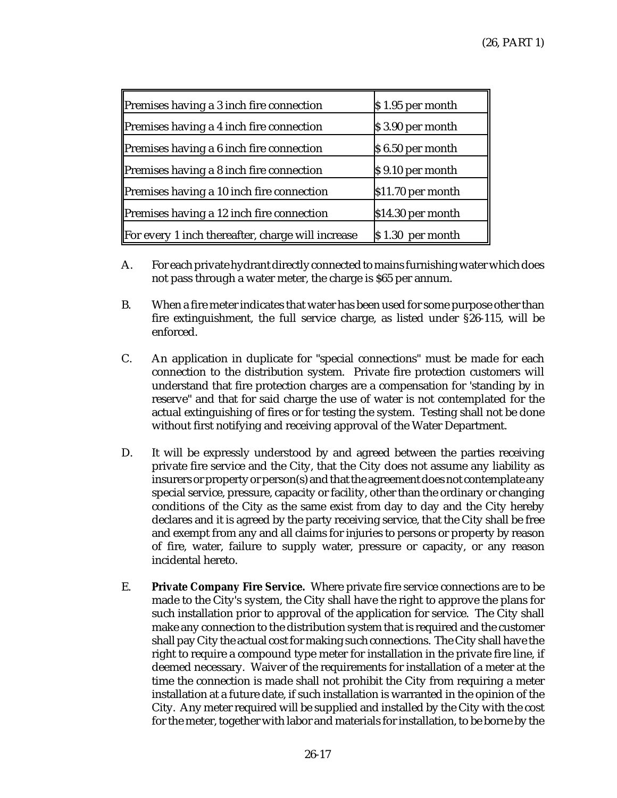| Premises having a 3 inch fire connection          | \$1.95 per month  |
|---------------------------------------------------|-------------------|
| Premises having a 4 inch fire connection          | \$3.90 per month  |
| Premises having a 6 inch fire connection          | \$6.50 per month  |
| Premises having a 8 inch fire connection          | \$9.10 per month  |
| Premises having a 10 inch fire connection         | \$11.70 per month |
| Premises having a 12 inch fire connection         | \$14.30 per month |
| For every 1 inch thereafter, charge will increase | $$1.30$ per month |

- A. For each private hydrant directly connected to mains furnishing water which does not pass through a water meter, the charge is \$65 per annum.
- B. When a fire meter indicates that water has been used for some purpose other than fire extinguishment, the full service charge, as listed under §26-115, will be enforced.
- C. An application in duplicate for "special connections" must be made for each connection to the distribution system. Private fire protection customers will understand that fire protection charges are a compensation for 'standing by in reserve" and that for said charge the use of water is not contemplated for the actual extinguishing of fires or for testing the system. Testing shall not be done without first notifying and receiving approval of the Water Department.
- D. It will be expressly understood by and agreed between the parties receiving private fire service and the City, that the City does not assume any liability as insurers or property or person(s) and that the agreement does not contemplate any special service, pressure, capacity or facility, other than the ordinary or changing conditions of the City as the same exist from day to day and the City hereby declares and it is agreed by the party receiving service, that the City shall be free and exempt from any and all claims for injuries to persons or property by reason of fire, water, failure to supply water, pressure or capacity, or any reason incidental hereto.
- E. **Private Company Fire Service.** Where private fire service connections are to be made to the City's system, the City shall have the right to approve the plans for such installation prior to approval of the application for service. The City shall make any connection to the distribution system that is required and the customer shall pay City the actual cost for making such connections. The City shall have the right to require a compound type meter for installation in the private fire line, if deemed necessary. Waiver of the requirements for installation of a meter at the time the connection is made shall not prohibit the City from requiring a meter installation at a future date, if such installation is warranted in the opinion of the City. Any meter required will be supplied and installed by the City with the cost for the meter, together with labor and materials for installation, to be borne by the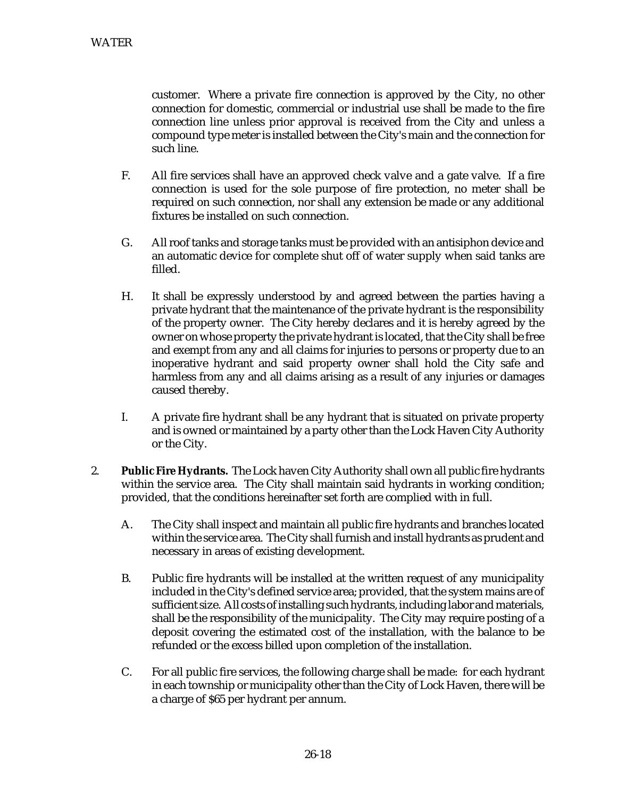customer. Where a private fire connection is approved by the City, no other connection for domestic, commercial or industrial use shall be made to the fire connection line unless prior approval is received from the City and unless a compound type meter is installed between the City's main and the connection for such line.

- F. All fire services shall have an approved check valve and a gate valve. If a fire connection is used for the sole purpose of fire protection, no meter shall be required on such connection, nor shall any extension be made or any additional fixtures be installed on such connection.
- G. All roof tanks and storage tanks must be provided with an antisiphon device and an automatic device for complete shut off of water supply when said tanks are filled.
- H. It shall be expressly understood by and agreed between the parties having a private hydrant that the maintenance of the private hydrant is the responsibility of the property owner. The City hereby declares and it is hereby agreed by the owner on whose property the private hydrant is located, that the City shall be free and exempt from any and all claims for injuries to persons or property due to an inoperative hydrant and said property owner shall hold the City safe and harmless from any and all claims arising as a result of any injuries or damages caused thereby.
- I. A private fire hydrant shall be any hydrant that is situated on private property and is owned or maintained by a party other than the Lock Haven City Authority or the City.
- 2. **Public Fire Hydrants.** The Lock haven City Authority shall own all public fire hydrants within the service area. The City shall maintain said hydrants in working condition; provided, that the conditions hereinafter set forth are complied with in full.
	- A. The City shall inspect and maintain all public fire hydrants and branches located within the service area. The City shall furnish and install hydrants as prudent and necessary in areas of existing development.
	- B. Public fire hydrants will be installed at the written request of any municipality included in the City's defined service area; provided, that the system mains are of sufficient size. All costs of installing such hydrants, including labor and materials, shall be the responsibility of the municipality. The City may require posting of a deposit covering the estimated cost of the installation, with the balance to be refunded or the excess billed upon completion of the installation.
	- C. For all public fire services, the following charge shall be made: for each hydrant in each township or municipality other than the City of Lock Haven, there will be a charge of \$65 per hydrant per annum.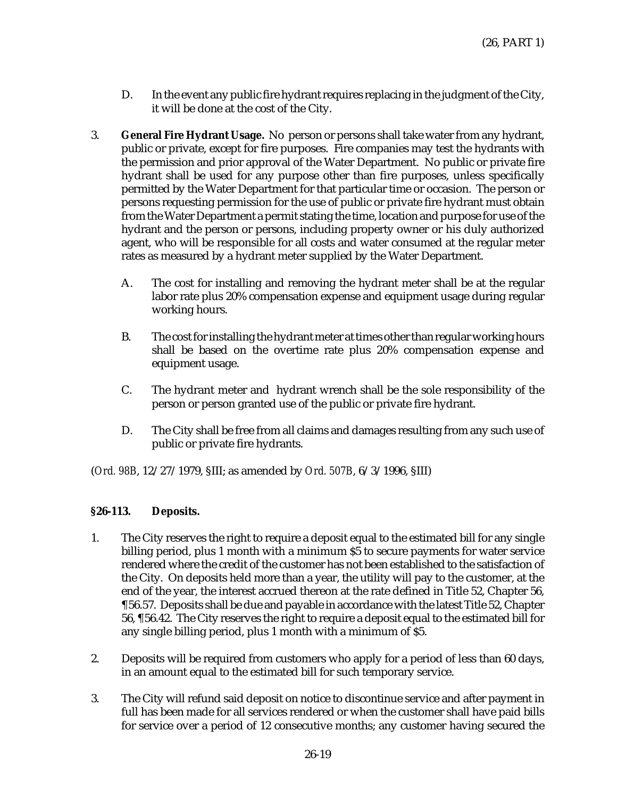- D. In the event any public fire hydrant requires replacing in the judgment of the City, it will be done at the cost of the City.
- 3. **General Fire Hydrant Usage.** No person or persons shall take water from any hydrant, public or private, except for fire purposes. Fire companies may test the hydrants with the permission and prior approval of the Water Department. No public or private fire hydrant shall be used for any purpose other than fire purposes, unless specifically permitted by the Water Department for that particular time or occasion. The person or persons requesting permission for the use of public or private fire hydrant must obtain from the Water Department a permit stating the time, location and purpose for use of the hydrant and the person or persons, including property owner or his duly authorized agent, who will be responsible for all costs and water consumed at the regular meter rates as measured by a hydrant meter supplied by the Water Department.
	- A. The cost for installing and removing the hydrant meter shall be at the regular labor rate plus 20% compensation expense and equipment usage during regular working hours.
	- B. The cost for installing the hydrant meter at times other than regular working hours shall be based on the overtime rate plus 20% compensation expense and equipment usage.
	- C. The hydrant meter and hydrant wrench shall be the sole responsibility of the person or person granted use of the public or private fire hydrant.
	- D. The City shall be free from all claims and damages resulting from any such use of public or private fire hydrants.

## **§26-113. Deposits.**

- 1. The City reserves the right to require a deposit equal to the estimated bill for any single billing period, plus 1 month with a minimum \$5 to secure payments for water service rendered where the credit of the customer has not been established to the satisfaction of the City. On deposits held more than a year, the utility will pay to the customer, at the end of the year, the interest accrued thereon at the rate defined in Title 52, Chapter 56, ¶56.57. Deposits shall be due and payable in accordance with the latest Title 52, Chapter 56, ¶56.42. The City reserves the right to require a deposit equal to the estimated bill for any single billing period, plus 1 month with a minimum of \$5.
- 2. Deposits will be required from customers who apply for a period of less than 60 days, in an amount equal to the estimated bill for such temporary service.
- 3. The City will refund said deposit on notice to discontinue service and after payment in full has been made for all services rendered or when the customer shall have paid bills for service over a period of 12 consecutive months; any customer having secured the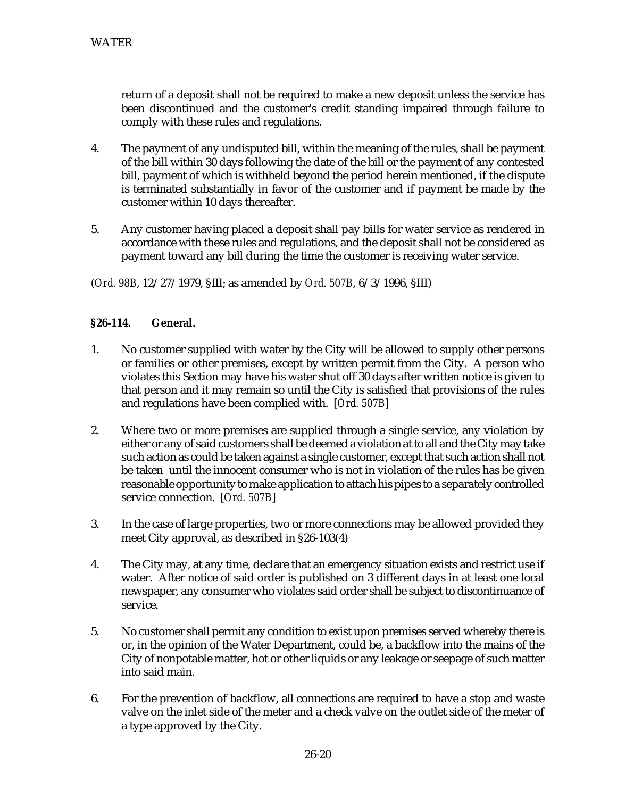return of a deposit shall not be required to make a new deposit unless the service has been discontinued and the customer's credit standing impaired through failure to comply with these rules and regulations.

- 4. The payment of any undisputed bill, within the meaning of the rules, shall be payment of the bill within 30 days following the date of the bill or the payment of any contested bill, payment of which is withheld beyond the period herein mentioned, if the dispute is terminated substantially in favor of the customer and if payment be made by the customer within 10 days thereafter.
- 5. Any customer having placed a deposit shall pay bills for water service as rendered in accordance with these rules and regulations, and the deposit shall not be considered as payment toward any bill during the time the customer is receiving water service.

(*Ord. 98B*, 12/27/1979, §III; as amended by *Ord. 507B*, 6/3/1996, §III)

#### **§26-114. General.**

- 1. No customer supplied with water by the City will be allowed to supply other persons or families or other premises, except by written permit from the City. A person who violates this Section may have his water shut off 30 days after written notice is given to that person and it may remain so until the City is satisfied that provisions of the rules and regulations have been complied with. [*Ord. 507B*]
- 2. Where two or more premises are supplied through a single service, any violation by either or any of said customers shall be deemed a violation at to all and the City may take such action as could be taken against a single customer, except that such action shall not be taken until the innocent consumer who is not in violation of the rules has be given reasonable opportunity to make application to attach his pipes to a separately controlled service connection. [*Ord. 507B*]
- 3. In the case of large properties, two or more connections may be allowed provided they meet City approval, as described in §26-103(4)
- 4. The City may, at any time, declare that an emergency situation exists and restrict use if water. After notice of said order is published on 3 different days in at least one local newspaper, any consumer who violates said order shall be subject to discontinuance of service.
- 5. No customer shall permit any condition to exist upon premises served whereby there is or, in the opinion of the Water Department, could be, a backflow into the mains of the City of nonpotable matter, hot or other liquids or any leakage or seepage of such matter into said main.
- 6. For the prevention of backflow, all connections are required to have a stop and waste valve on the inlet side of the meter and a check valve on the outlet side of the meter of a type approved by the City.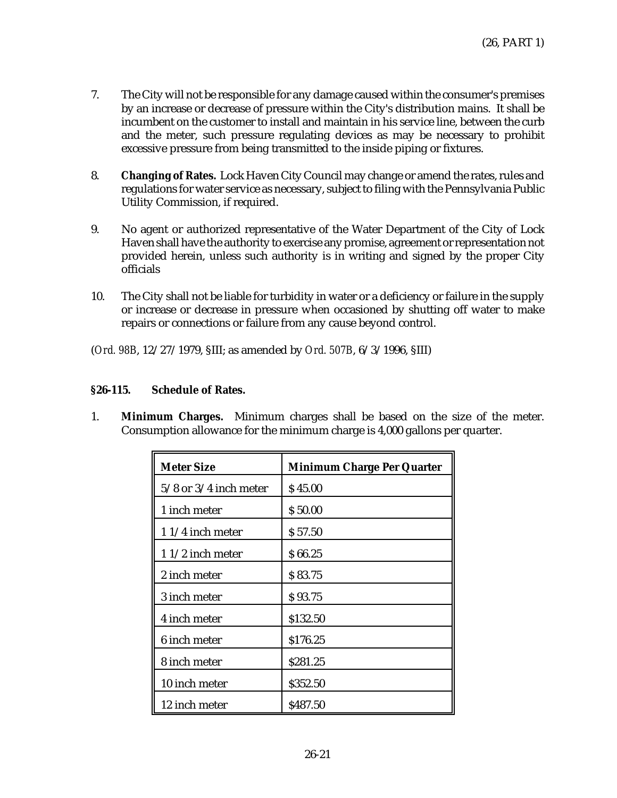- 7. The City will not be responsible for any damage caused within the consumer's premises by an increase or decrease of pressure within the City's distribution mains. It shall be incumbent on the customer to install and maintain in his service line, between the curb and the meter, such pressure regulating devices as may be necessary to prohibit excessive pressure from being transmitted to the inside piping or fixtures.
- 8. **Changing of Rates.** Lock Haven City Council may change or amend the rates, rules and regulations for water service as necessary, subject to filing with the Pennsylvania Public Utility Commission, if required.
- 9. No agent or authorized representative of the Water Department of the City of Lock Haven shall have the authority to exercise any promise, agreement or representation not provided herein, unless such authority is in writing and signed by the proper City officials
- 10. The City shall not be liable for turbidity in water or a deficiency or failure in the supply or increase or decrease in pressure when occasioned by shutting off water to make repairs or connections or failure from any cause beyond control.

#### **§26-115. Schedule of Rates.**

1. **Minimum Charges.** Minimum charges shall be based on the size of the meter. Consumption allowance for the minimum charge is 4,000 gallons per quarter.

| <b>Meter Size</b>         | <b>Minimum Charge Per Quarter</b> |
|---------------------------|-----------------------------------|
| $5/8$ or $3/4$ inch meter | \$45.00                           |
| 1 inch meter              | \$50.00                           |
| 11/4 inch meter           | \$57.50                           |
| $11/2$ inch meter         | \$66.25                           |
| 2 inch meter              | \$83.75                           |
| 3 inch meter              | \$93.75                           |
| 4 inch meter              | \$132.50                          |
| 6 inch meter              | \$176.25                          |
| 8 inch meter              | \$281.25                          |
| 10 inch meter             | \$352.50                          |
| 12 inch meter             | \$487.50                          |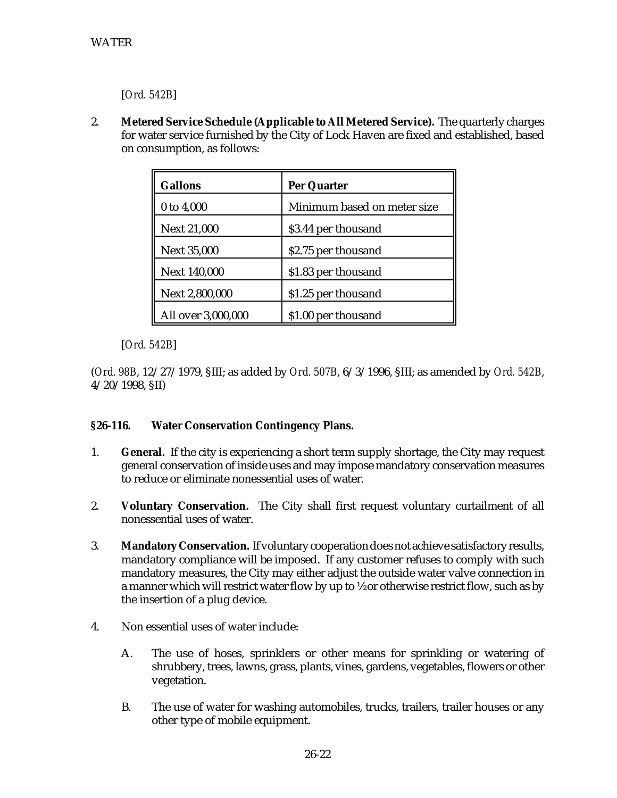[*Ord. 542B*]

2. **Metered Service Schedule (Applicable to All Metered Service).** The quarterly charges for water service furnished by the City of Lock Haven are fixed and established, based on consumption, as follows:

| <b>Gallons</b>      | Per Quarter                 |
|---------------------|-----------------------------|
| 0 to 4,000          | Minimum based on meter size |
| <b>Next 21,000</b>  | \$3.44 per thousand         |
| <b>Next 35,000</b>  | \$2.75 per thousand         |
| <b>Next 140,000</b> | \$1.83 per thousand         |
| Next 2,800,000      | \$1.25 per thousand         |
| All over 3,000,000  | \$1.00 per thousand         |

[*Ord. 542B*]

(*Ord. 98B*, 12/27/1979, §III; as added by *Ord. 507B*, 6/3/1996, §III; as amended by *Ord. 542B*, 4/20/1998, §II)

## **§26-116. Water Conservation Contingency Plans.**

- 1. **General.** If the city is experiencing a short term supply shortage, the City may request general conservation of inside uses and may impose mandatory conservation measures to reduce or eliminate nonessential uses of water.
- 2. **Voluntary Conservation.** The City shall first request voluntary curtailment of all nonessential uses of water.
- 3. **Mandatory Conservation.** If voluntary cooperation does not achieve satisfactory results, mandatory compliance will be imposed. If any customer refuses to comply with such mandatory measures, the City may either adjust the outside water valve connection in a manner which will restrict water flow by up to ½ or otherwise restrict flow, such as by the insertion of a plug device.
- 4. Non essential uses of water include:
	- A. The use of hoses, sprinklers or other means for sprinkling or watering of shrubbery, trees, lawns, grass, plants, vines, gardens, vegetables, flowers or other vegetation.
	- B. The use of water for washing automobiles, trucks, trailers, trailer houses or any other type of mobile equipment.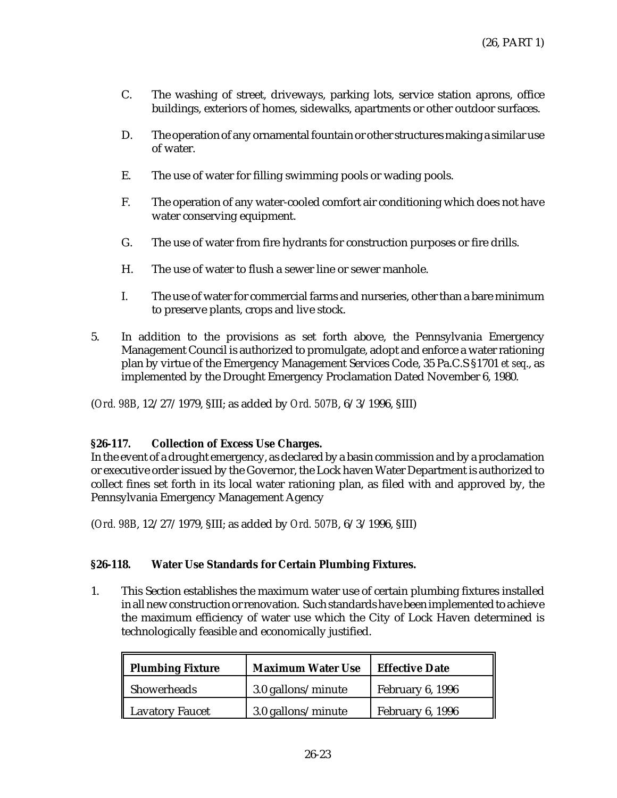- C. The washing of street, driveways, parking lots, service station aprons, office buildings, exteriors of homes, sidewalks, apartments or other outdoor surfaces.
- D. The operation of any ornamental fountain or other structures making a similar use of water.
- E. The use of water for filling swimming pools or wading pools.
- F. The operation of any water-cooled comfort air conditioning which does not have water conserving equipment.
- G. The use of water from fire hydrants for construction purposes or fire drills.
- H. The use of water to flush a sewer line or sewer manhole.
- I. The use of water for commercial farms and nurseries, other than a bare minimum to preserve plants, crops and live stock.
- 5. In addition to the provisions as set forth above, the Pennsylvania Emergency Management Council is authorized to promulgate, adopt and enforce a water rationing plan by virtue of the Emergency Management Services Code, 35 Pa.C.S §1701 *et seq*., as implemented by the Drought Emergency Proclamation Dated November 6, 1980.

## **§26-117. Collection of Excess Use Charges.**

In the event of a drought emergency, as declared by a basin commission and by a proclamation or executive order issued by the Governor, the Lock haven Water Department is authorized to collect fines set forth in its local water rationing plan, as filed with and approved by, the Pennsylvania Emergency Management Agency

(*Ord. 98B*, 12/27/1979, §III; as added by *Ord. 507B*, 6/3/1996, §III)

## **§26-118. Water Use Standards for Certain Plumbing Fixtures.**

1. This Section establishes the maximum water use of certain plumbing fixtures installed in all new construction or renovation. Such standards have been implemented to achieve the maximum efficiency of water use which the City of Lock Haven determined is technologically feasible and economically justified.

| <b>Plumbing Fixture</b> | <b>Maximum Water Use</b> | <b>Effective Date</b> |
|-------------------------|--------------------------|-----------------------|
| Showerheads             | 3.0 gallons/minute       | February 6, 1996      |
| <b>Lavatory Faucet</b>  | 3.0 gallons/minute       | February 6, 1996      |